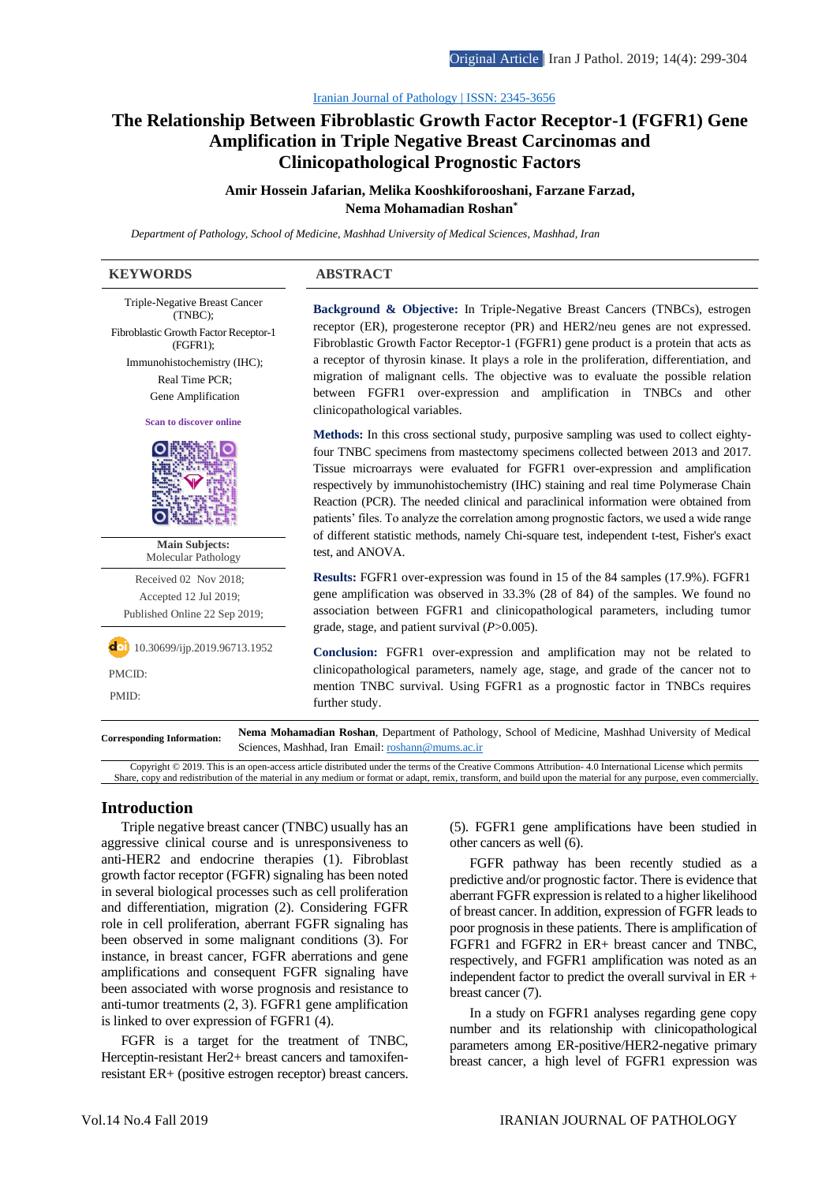#### [Iranian Journal of Pathology | ISSN: 2345-3656](http://ijp.iranpath.org/)

# **The Relationship Between [Fibroblastic Growth Factor Receptor-1 \(FGFR1\) Gene](http://ijp.iranpath.org/article_36631.html)  [Amplification in Triple Negative Breast Carcinomas and](http://ijp.iranpath.org/article_36631.html)  [Clinicopathological Prognostic Factors](http://ijp.iranpath.org/article_36631.html)**

**Amir Hossein Jafarian, Melika Kooshkiforooshani, Farzane Farzad, Nema Mohamadian Roshan\***

*Department of Pathology, School of Medicine, Mashhad University of Medical Sciences, Mashhad, Iran* 

#### **KEYWORDS ABSTRACT**

Triple-Negative Breast Cancer (TNBC); Fibroblastic Growth Factor Receptor-1 (FGFR1); Immunohistochemistry (IHC); Real Time PCR; Gene Amplification **Scan to discover online Main Subjects:**  Molecular Pathology Received 02 Nov 2018; Accepted 12 Jul 2019; Published Online 22 Sep 2019;  $\overline{d}$  10.30699/ijp.2019.96713.1952 PMCID: PMID:

**Background & Objective:** In Triple-Negative Breast Cancers (TNBCs), estrogen receptor (ER), progesterone receptor (PR) and HER2/neu genes are not expressed. Fibroblastic Growth Factor Receptor-1 (FGFR1) gene product is a protein that acts as a receptor of thyrosin kinase. It plays a role in the proliferation, differentiation, and migration of malignant cells. The objective was to evaluate the possible relation between FGFR1 over-expression and amplification in TNBCs and other clinicopathological variables.

**Methods:** In this cross sectional study, purposive sampling was used to collect eightyfour TNBC specimens from mastectomy specimens collected between 2013 and 2017. Tissue microarrays were evaluated for FGFR1 over-expression and amplification respectively by immunohistochemistry (IHC) staining and real time Polymerase Chain Reaction (PCR). The needed clinical and paraclinical information were obtained from patients' files. To analyze the correlation among prognostic factors, we used a wide range of different statistic methods, namely Chi-square test, independent t-test, Fisher's exact test, and ANOVA.

**Results:** FGFR1 over-expression was found in 15 of the 84 samples (17.9%). FGFR1 gene amplification was observed in 33.3% (28 of 84) of the samples. We found no association between FGFR1 and clinicopathological parameters, including tumor grade, stage, and patient survival (*P*>0.005).

**Conclusion:** FGFR1 over-expression and amplification may not be related to clinicopathological parameters, namely age, stage, and grade of the cancer not to mention TNBC survival. Using FGFR1 as a prognostic factor in TNBCs requires further study.

**Corresponding Information: Nema Mohamadian Roshan**, Department of Pathology, School of Medicine, Mashhad University of Medical Sciences, Mashhad, Iran Email[: roshann@mums.ac.ir](mailto:roshann@mums.ac.ir)

Copyright © 2019. This is an open-access article distributed under the terms of the Creative Commons Attribution- 4.0 International License which permits Share, copy and redistribution of the material in any medium or format or adapt, remix, transform, and build upon the material for any purpose, even commercially.

## **Introduction**

Triple negative breast cancer (TNBC) usually has an aggressive clinical course and is unresponsiveness to anti-HER2 and endocrine therapies (1). Fibroblast growth factor receptor (FGFR) signaling has been noted in several biological processes such as cell proliferation and differentiation, migration (2). Considering FGFR role in cell proliferation, aberrant FGFR signaling has been observed in some malignant conditions (3). For instance, in breast cancer, FGFR aberrations and gene amplifications and consequent FGFR signaling have been associated with worse prognosis and resistance to anti-tumor treatments (2, 3). FGFR1 gene amplification is linked to over expression of FGFR1 (4).

FGFR is a target for the treatment of TNBC, Herceptin-resistant Her2+ breast cancers and tamoxifenresistant ER+ (positive estrogen receptor) breast cancers. (5). FGFR1 gene amplifications have been studied in other cancers as well (6).

FGFR pathway has been recently studied as a predictive and/or prognostic factor. There is evidence that aberrant FGFR expression is related to a higher likelihood of breast cancer. In addition, expression of FGFR leads to poor prognosis in these patients. There is amplification of FGFR1 and FGFR2 in ER+ breast cancer and TNBC, respectively, and FGFR1 amplification was noted as an independent factor to predict the overall survival in ER + breast cancer (7).

In a study on FGFR1 analyses regarding gene copy number and its relationship with clinicopathological parameters among ER-positive/HER2-negative primary breast cancer, a high level of FGFR1 expression was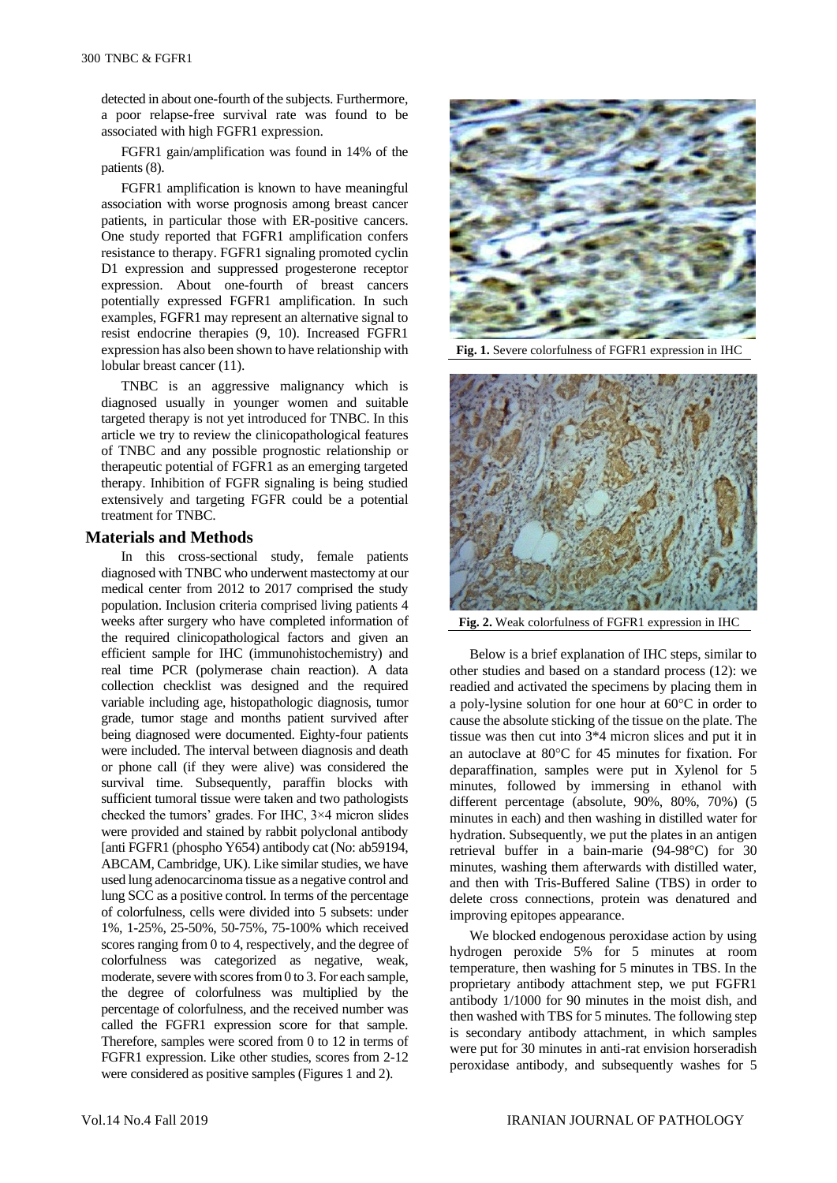detected in about one-fourth of the subjects. Furthermore, a poor relapse-free survival rate was found to be associated with high FGFR1 expression.

FGFR1 gain/amplification was found in 14% of the patients (8).

FGFR1 amplification is known to have meaningful association with worse prognosis among breast cancer patients, in particular those with ER-positive cancers. One study reported that FGFR1 amplification confers resistance to therapy. FGFR1 signaling promoted cyclin D1 expression and suppressed progesterone receptor expression. About one-fourth of breast cancers potentially expressed FGFR1 amplification. In such examples, FGFR1 may represent an alternative signal to resist endocrine therapies (9, 10). Increased FGFR1 expression has also been shown to have relationship with lobular breast cancer (11).

TNBC is an aggressive malignancy which is diagnosed usually in younger women and suitable targeted therapy is not yet introduced for TNBC. In this article we try to review the clinicopathological features of TNBC and any possible prognostic relationship or therapeutic potential of FGFR1 as an emerging targeted therapy. Inhibition of FGFR signaling is being studied extensively and targeting FGFR could be a potential treatment for TNBC.

# **Materials and Methods**

In this cross-sectional study, female patients diagnosed with TNBC who underwent mastectomy at our medical center from 2012 to 2017 comprised the study population. Inclusion criteria comprised living patients 4 weeks after surgery who have completed information of the required clinicopathological factors and given an efficient sample for IHC (immunohistochemistry) and real time PCR (polymerase chain reaction). A data collection checklist was designed and the required variable including age, histopathologic diagnosis, tumor grade, tumor stage and months patient survived after being diagnosed were documented. Eighty-four patients were included. The interval between diagnosis and death or phone call (if they were alive) was considered the survival time. Subsequently, paraffin blocks with sufficient tumoral tissue were taken and two pathologists checked the tumors' grades. For IHC, 3×4 micron slides were provided and stained by rabbit polyclonal antibody [anti FGFR1 (phospho Y654) antibody cat (No: ab59194, ABCAM, Cambridge, UK). Like similar studies, we have used lung adenocarcinoma tissue as a negative control and lung SCC as a positive control. In terms of the percentage of colorfulness, cells were divided into 5 subsets: under 1%, 1-25%, 25-50%, 50-75%, 75-100% which received scores ranging from 0 to 4, respectively, and the degree of colorfulness was categorized as negative, weak, moderate, severe with scores from 0 to 3. For each sample, the degree of colorfulness was multiplied by the percentage of colorfulness, and the received number was called the FGFR1 expression score for that sample. Therefore, samples were scored from 0 to 12 in terms of FGFR1 expression. Like other studies, scores from 2-12 were considered as positive samples (Figures 1 and 2).



**Fig. 1.** Severe colorfulness of FGFR1 expression in IHC



**Fig. 2.** Weak colorfulness of FGFR1 expression in IHC

Below is a brief explanation of IHC steps, similar to other studies and based on a standard process (12): we readied and activated the specimens by placing them in a poly-lysine solution for one hour at  $60^{\circ}$ C in order to cause the absolute sticking of the tissue on the plate. The tissue was then cut into 3\*4 micron slices and put it in an autoclave at 80°C for 45 minutes for fixation. For deparaffination, samples were put in Xylenol for 5 minutes, followed by immersing in ethanol with different percentage (absolute, 90%, 80%, 70%) (5 minutes in each) and then washing in distilled water for hydration. Subsequently, we put the plates in an antigen retrieval buffer in a bain-marie (94-98°C) for 30 minutes, washing them afterwards with distilled water, and then with Tris-Buffered Saline (TBS) in order to delete cross connections, protein was denatured and improving epitopes appearance.

We blocked endogenous peroxidase action by using hydrogen peroxide 5% for 5 minutes at room temperature, then washing for 5 minutes in TBS. In the proprietary antibody attachment step, we put FGFR1 antibody 1/1000 for 90 minutes in the moist dish, and then washed with TBS for 5 minutes. The following step is secondary antibody attachment, in which samples were put for 30 minutes in anti-rat envision horseradish peroxidase antibody, and subsequently washes for 5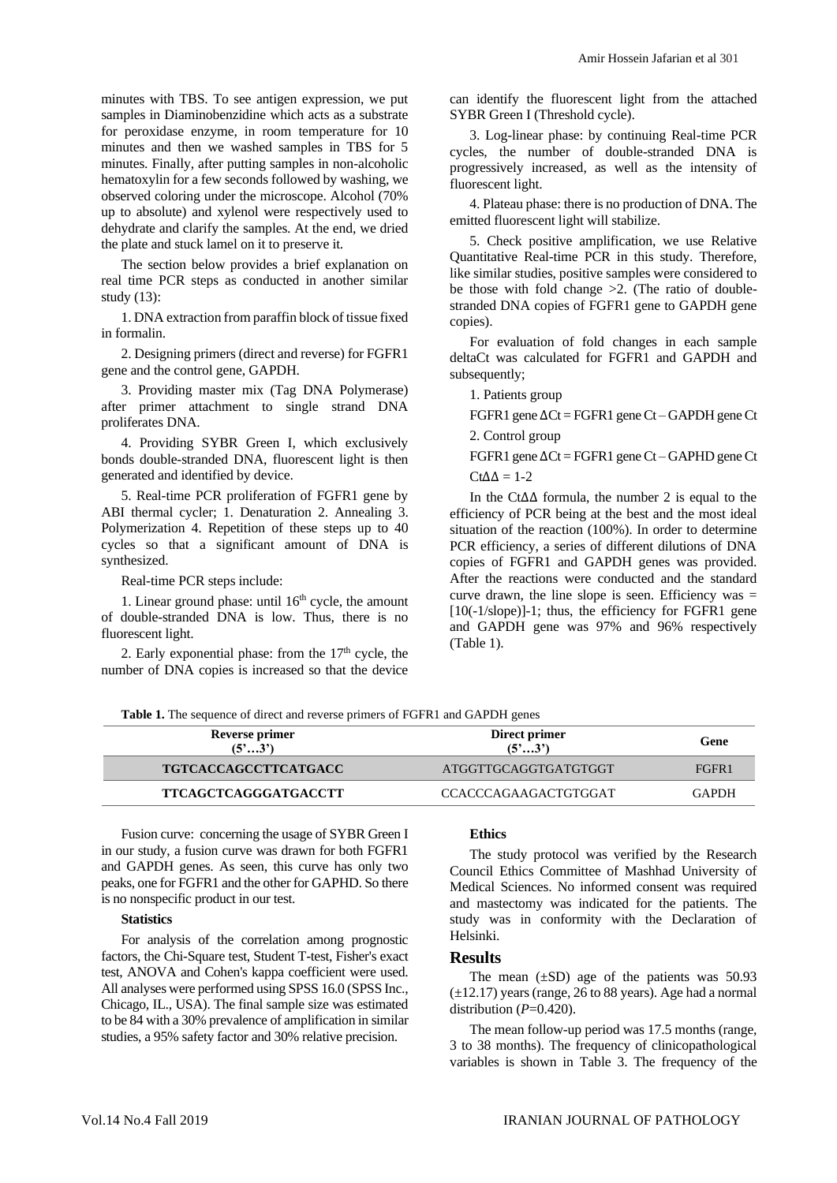minutes with TBS. To see antigen expression, we put samples in Diaminobenzidine which acts as a substrate for peroxidase enzyme, in room temperature for 10 minutes and then we washed samples in TBS for 5 minutes. Finally, after putting samples in non-alcoholic hematoxylin for a few seconds followed by washing, we observed coloring under the microscope. Alcohol (70% up to absolute) and xylenol were respectively used to dehydrate and clarify the samples. At the end, we dried the plate and stuck lamel on it to preserve it.

The section below provides a brief explanation on real time PCR steps as conducted in another similar study (13):

1. DNA extraction from paraffin block of tissue fixed in formalin.

2. Designing primers (direct and reverse) for FGFR1 gene and the control gene, GAPDH.

3. Providing master mix (Tag DNA Polymerase) after primer attachment to single strand DNA proliferates DNA.

4. Providing SYBR Green I, which exclusively bonds double-stranded DNA, fluorescent light is then generated and identified by device.

5. Real-time PCR proliferation of FGFR1 gene by ABI thermal cycler; 1. Denaturation 2. Annealing 3. Polymerization 4. Repetition of these steps up to 40 cycles so that a significant amount of DNA is synthesized.

Real-time PCR steps include:

1. Linear ground phase: until  $16<sup>th</sup>$  cycle, the amount of double-stranded DNA is low. Thus, there is no fluorescent light.

2. Early exponential phase: from the  $17<sup>th</sup>$  cycle, the number of DNA copies is increased so that the device can identify the fluorescent light from the attached SYBR Green I (Threshold cycle).

3. Log-linear phase: by continuing Real-time PCR cycles, the number of double-stranded DNA is progressively increased, as well as the intensity of fluorescent light.

4. Plateau phase: there is no production of DNA. The emitted fluorescent light will stabilize.

5. Check positive amplification, we use Relative Quantitative Real-time PCR in this study. Therefore, like similar studies, positive samples were considered to be those with fold change >2. (The ratio of doublestranded DNA copies of FGFR1 gene to GAPDH gene copies).

For evaluation of fold changes in each sample deltaCt was calculated for FGFR1 and GAPDH and subsequently;

## 1. Patients group

FGFR1 gene ∆Ct = FGFR1 gene Ct – GAPDH gene Ct 2. Control group

FGFR1 gene ∆Ct = FGFR1 gene Ct – GAPHD gene Ct  $Ct\Delta\Delta = 1-2$ 

In the Ct∆∆ formula, the number 2 is equal to the efficiency of PCR being at the best and the most ideal situation of the reaction (100%). In order to determine PCR efficiency, a series of different dilutions of DNA copies of FGFR1 and GAPDH genes was provided. After the reactions were conducted and the standard curve drawn, the line slope is seen. Efficiency was  $=$  $[10(-1/\text{slope})]$ -1; thus, the efficiency for FGFR1 gene and GAPDH gene was 97% and 96% respectively (Table 1).

**Table 1.** The sequence of direct and reverse primers of FGFR1 and GAPDH genes

| Reverse primer<br>$(5^{\circ}3^{\circ})$ | Direct primer<br>$(5^{\circ}3^{\circ})$ | Gene  |
|------------------------------------------|-----------------------------------------|-------|
| <b>TGTCACCAGCCTTCATGACC</b>              | ATGGTTGCAGGTGATGTGGT                    | FGFR1 |
| <b>TTCAGCTCAGGGATGACCTT</b>              | CCACCCAGAAGACTGTGGAT                    | GAPDH |

Fusion curve: concerning the usage of SYBR Green I in our study, a fusion curve was drawn for both FGFR1 and GAPDH genes. As seen, this curve has only two peaks, one for FGFR1 and the other for GAPHD. So there is no nonspecific product in our test.

#### **Statistics**

For analysis of the correlation among prognostic factors, the Chi-Square test, Student T-test, Fisher's exact test, ANOVA and Cohen's kappa coefficient were used. All analyses were performed using SPSS 16.0 (SPSS Inc., Chicago, IL., USA). The final sample size was estimated to be 84 with a 30% prevalence of amplification in similar studies, a 95% safety factor and 30% relative precision.

### **Ethics**

The study protocol was verified by the Research Council Ethics Committee of Mashhad University of Medical Sciences. No informed consent was required and mastectomy was indicated for the patients. The study was in conformity with the Declaration of Helsinki.

#### **Results**

The mean  $(\pm SD)$  age of the patients was 50.93  $(\pm 12.17)$  years (range, 26 to 88 years). Age had a normal distribution  $(P=0.420)$ .

The mean follow-up period was 17.5 months (range, 3 to 38 months). The frequency of clinicopathological variables is shown in Table 3. The frequency of the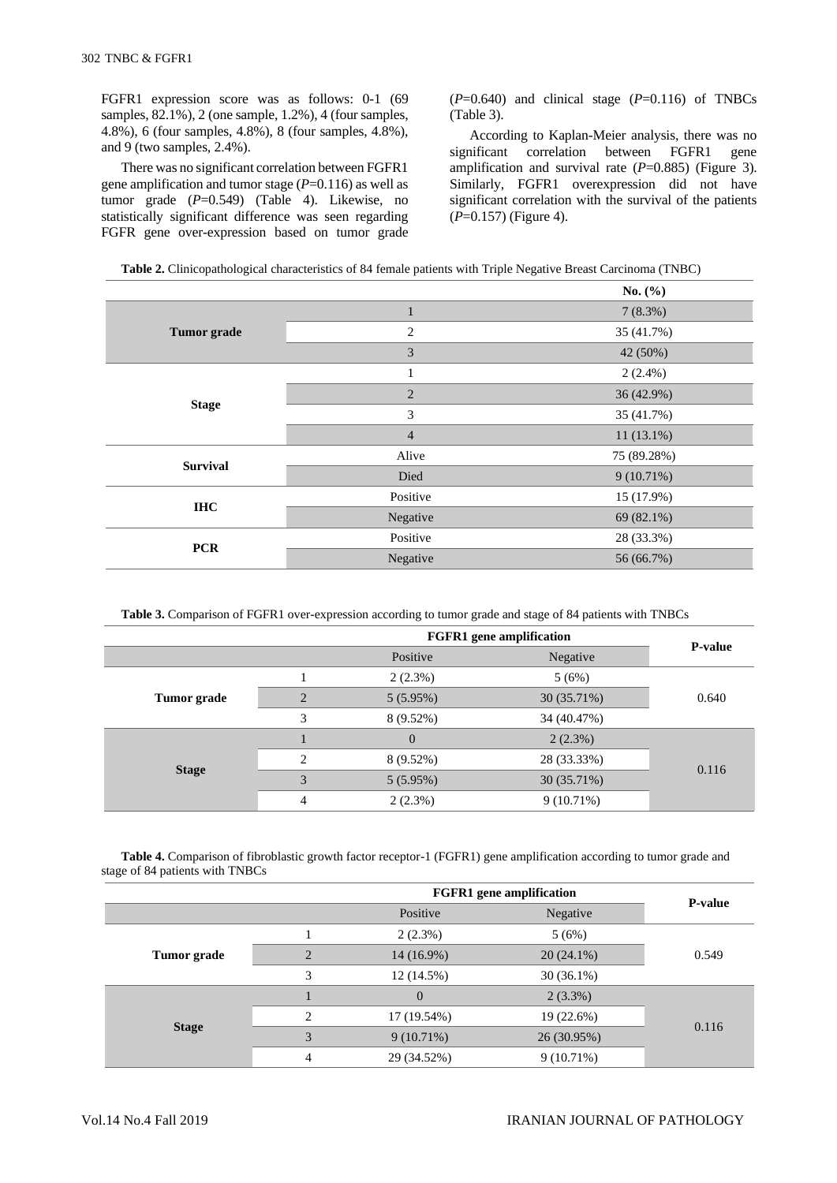FGFR1 expression score was as follows: 0-1 (69 samples, 82.1%), 2 (one sample, 1.2%), 4 (four samples, 4.8%), 6 (four samples, 4.8%), 8 (four samples, 4.8%), and 9 (two samples, 2.4%).

There was no significant correlation between FGFR1 gene amplification and tumor stage (*P*=0.116) as well as tumor grade (*P*=0.549) (Table 4). Likewise, no statistically significant difference was seen regarding FGFR gene over-expression based on tumor grade  $(P=0.640)$  and clinical stage  $(P=0.116)$  of TNBCs (Table 3).

According to Kaplan-Meier analysis, there was no significant correlation between FGFR1 gene amplification and survival rate (*P*=0.885) (Figure 3). Similarly, FGFR1 overexpression did not have significant correlation with the survival of the patients (*P*=0.157) (Figure 4).

| <b>Table 2.</b> Clinicopathological characteristics of 84 female patients with Triple Negative Breast Carcinoma (TNBC) |  |  |
|------------------------------------------------------------------------------------------------------------------------|--|--|
|                                                                                                                        |  |  |

|                    |                | No. $(\% )$ |
|--------------------|----------------|-------------|
|                    | 1              | 7(8.3%)     |
| <b>Tumor</b> grade | $\overline{c}$ | 35 (41.7%)  |
|                    | 3              | 42 (50%)    |
| <b>Stage</b>       | -1             | $2(2.4\%)$  |
|                    | $\overline{2}$ | 36 (42.9%)  |
|                    | 3              | 35 (41.7%)  |
|                    | $\overline{4}$ | 11(13.1%)   |
| <b>Survival</b>    | Alive          | 75 (89.28%) |
|                    | Died           | 9(10.71%)   |
| <b>IHC</b>         | Positive       | 15 (17.9%)  |
|                    | Negative       | 69 (82.1%)  |
| <b>PCR</b>         | Positive       | 28 (33.3%)  |
|                    | Negative       | 56 (66.7%)  |

**Table 3.** Comparison of FGFR1 over-expression according to tumor grade and stage of 84 patients with TNBCs

|                    |   | <b>FGFR1</b> gene amplification |             |                |  |
|--------------------|---|---------------------------------|-------------|----------------|--|
|                    |   | Positive                        | Negative    | <b>P-value</b> |  |
| <b>Tumor</b> grade |   | $2(2.3\%)$                      | 5(6%)       |                |  |
|                    |   | 5(5.95%)                        | 30 (35.71%) | 0.640          |  |
|                    | 3 | $8(9.52\%)$                     | 34 (40.47%) |                |  |
| <b>Stage</b>       |   | 0                               | $2(2.3\%)$  |                |  |
|                    | ∍ | 8 (9.52%)                       | 28 (33.33%) | 0.116          |  |
|                    | 3 | 5(5.95%)                        | 30 (35.71%) |                |  |
|                    | 4 | $2(2.3\%)$                      | 9(10.71%)   |                |  |

**Table 4.** Comparison of fibroblastic growth factor receptor-1 (FGFR1) gene amplification according to tumor grade and stage of 84 patients with TNBCs

|                    |                | <b>FGFR1</b> gene amplification |              |                |  |
|--------------------|----------------|---------------------------------|--------------|----------------|--|
|                    |                | Positive                        | Negative     | <b>P-value</b> |  |
| <b>Tumor</b> grade |                | $2(2.3\%)$                      | 5(6%)        |                |  |
|                    |                | $14(16.9\%)$                    | $20(24.1\%)$ | 0.549          |  |
|                    | 3              | 12(14.5%)                       | $30(36.1\%)$ |                |  |
| <b>Stage</b>       |                | $\overline{0}$                  | 2(3.3%)      |                |  |
|                    | $\mathfrak{D}$ | 17 (19.54%)                     | 19 (22.6%)   |                |  |
|                    | $\mathcal{R}$  | $9(10.71\%)$                    | 26 (30.95%)  | 0.116          |  |
|                    | 4              | 29 (34.52%)                     | $9(10.71\%)$ |                |  |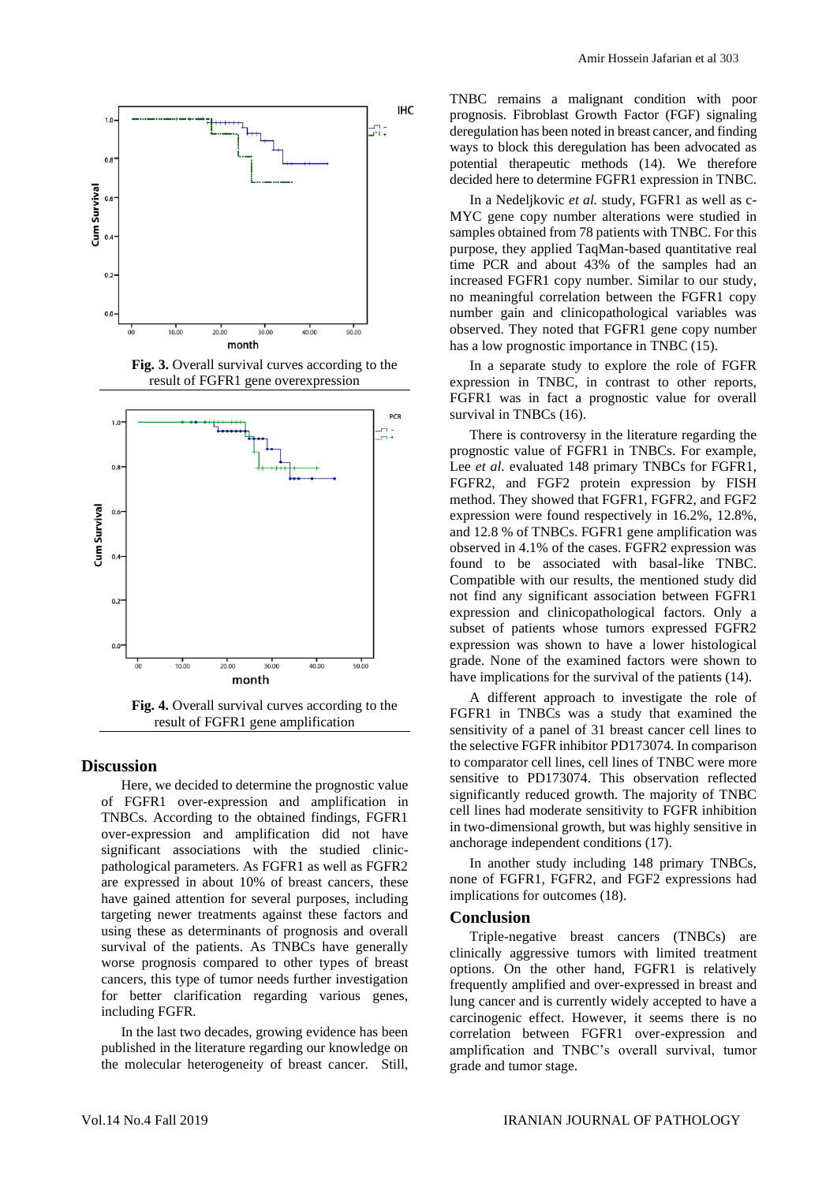

**Fig. 3.** Overall survival curves according to the result of FGFR1 gene overexpression



result of FGFR1 gene amplification

# **Discussion**

Here, we decided to determine the prognostic value of FGFR1 over-expression and amplification in TNBCs. According to the obtained findings, FGFR1 over-expression and amplification did not have significant associations with the studied clinicpathological parameters. As FGFR1 as well as FGFR2 are expressed in about 10% of breast cancers, these have gained attention for several purposes, including targeting newer treatments against these factors and using these as determinants of prognosis and overall survival of the patients. As TNBCs have generally worse prognosis compared to other types of breast cancers, this type of tumor needs further investigation for better clarification regarding various genes, including FGFR.

In the last two decades, growing evidence has been published in the literature regarding our knowledge on the molecular heterogeneity of breast cancer. Still, TNBC remains a malignant condition with poor prognosis. Fibroblast Growth Factor (FGF) signaling deregulation has been noted in breast cancer, and finding ways to block this deregulation has been advocated as potential therapeutic methods (14). We therefore decided here to determine FGFR1 expression in TNBC.

In a Nedeljkovic *et al.* study, FGFR1 as well as c-MYC gene copy number alterations were studied in samples obtained from 78 patients with TNBC. For this purpose, they applied TaqMan-based quantitative real time PCR and about 43% of the samples had an increased FGFR1 copy number. Similar to our study, no meaningful correlation between the FGFR1 copy number gain and clinicopathological variables was observed. They noted that FGFR1 gene copy number has a low prognostic importance in TNBC (15).

In a separate study to explore the role of FGFR expression in TNBC, in contrast to other reports, FGFR1 was in fact a prognostic value for overall survival in TNBCs (16).

There is controversy in the literature regarding the prognostic value of FGFR1 in TNBCs. For example, Lee *et al.* evaluated 148 primary TNBCs for FGFR1, FGFR2, and FGF2 protein expression by FISH method. They showed that FGFR1, FGFR2, and FGF2 expression were found respectively in 16.2%, 12.8%, and 12.8 % of TNBCs. FGFR1 gene amplification was observed in 4.1% of the cases. FGFR2 expression was found to be associated with basal-like TNBC. Compatible with our results, the mentioned study did not find any significant association between FGFR1 expression and clinicopathological factors. Only a subset of patients whose tumors expressed FGFR2 expression was shown to have a lower histological grade. None of the examined factors were shown to have implications for the survival of the patients (14).

A different approach to investigate the role of FGFR1 in TNBCs was a study that examined the sensitivity of a panel of 31 breast cancer cell lines to the selective FGFR inhibitor PD173074. In comparison to comparator cell lines, cell lines of TNBC were more sensitive to PD173074. This observation reflected significantly reduced growth. The majority of TNBC cell lines had moderate sensitivity to FGFR inhibition in two-dimensional growth, but was highly sensitive in anchorage independent conditions (17).

In another study including 148 primary TNBCs, none of FGFR1, FGFR2, and FGF2 expressions had implications for outcomes (18).

#### **Conclusion**

Triple-negative breast cancers (TNBCs) are clinically aggressive tumors with limited treatment options. On the other hand, FGFR1 is relatively frequently amplified and over-expressed in breast and lung cancer and is currently widely accepted to have a carcinogenic effect. However, it seems there is no correlation between FGFR1 over-expression and amplification and TNBC's overall survival, tumor grade and tumor stage.